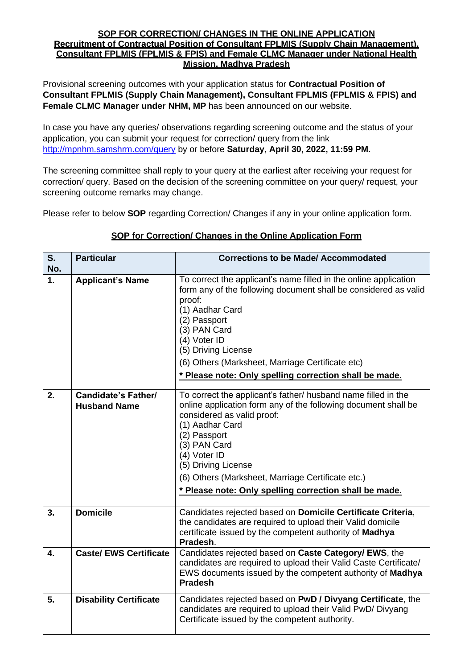#### **SOP FOR CORRECTION/ CHANGES IN THE ONLINE APPLICATION Recruitment of Contractual Position of Consultant FPLMIS (Supply Chain Management), Consultant FPLMIS (FPLMIS & FPIS) and Female CLMC Manager under National Health Mission, Madhya Pradesh**

Provisional screening outcomes with your application status for **Contractual Position of Consultant FPLMIS (Supply Chain Management), Consultant FPLMIS (FPLMIS & FPIS) and Female CLMC Manager under NHM, MP** has been announced on our website.

In case you have any queries/ observations regarding screening outcome and the status of your application, you can submit your request for correction/ query from the link <http://mpnhm.samshrm.com/query> by or before **Saturday**, **April 30, 2022, 11:59 PM.**

The screening committee shall reply to your query at the earliest after receiving your request for correction/ query. Based on the decision of the screening committee on your query/ request, your screening outcome remarks may change.

Please refer to below **SOP** regarding Correction/ Changes if any in your online application form.

#### **SOP for Correction/ Changes in the Online Application Form**

| $S_{1}$ | <b>Particular</b>                          | <b>Corrections to be Made/ Accommodated</b>                                                                                                                                                                                                                                                                                                                            |
|---------|--------------------------------------------|------------------------------------------------------------------------------------------------------------------------------------------------------------------------------------------------------------------------------------------------------------------------------------------------------------------------------------------------------------------------|
| No.     |                                            |                                                                                                                                                                                                                                                                                                                                                                        |
| 1.      | <b>Applicant's Name</b>                    | To correct the applicant's name filled in the online application<br>form any of the following document shall be considered as valid<br>proof:<br>(1) Aadhar Card<br>(2) Passport<br>(3) PAN Card<br>(4) Voter ID<br>(5) Driving License<br>(6) Others (Marksheet, Marriage Certificate etc)<br>* Please note: Only spelling correction shall be made.                  |
|         |                                            |                                                                                                                                                                                                                                                                                                                                                                        |
| 2.      | Candidate's Father/<br><b>Husband Name</b> | To correct the applicant's father/ husband name filled in the<br>online application form any of the following document shall be<br>considered as valid proof:<br>(1) Aadhar Card<br>(2) Passport<br>(3) PAN Card<br>(4) Voter ID<br>(5) Driving License<br>(6) Others (Marksheet, Marriage Certificate etc.)<br>* Please note: Only spelling correction shall be made. |
| 3.      | <b>Domicile</b>                            | Candidates rejected based on Domicile Certificate Criteria,<br>the candidates are required to upload their Valid domicile<br>certificate issued by the competent authority of Madhya<br>Pradesh.                                                                                                                                                                       |
| 4.      | <b>Caste/ EWS Certificate</b>              | Candidates rejected based on Caste Category/ EWS, the<br>candidates are required to upload their Valid Caste Certificate/<br>EWS documents issued by the competent authority of Madhya<br><b>Pradesh</b>                                                                                                                                                               |
| 5.      | <b>Disability Certificate</b>              | Candidates rejected based on PwD / Divyang Certificate, the<br>candidates are required to upload their Valid PwD/ Divyang<br>Certificate issued by the competent authority.                                                                                                                                                                                            |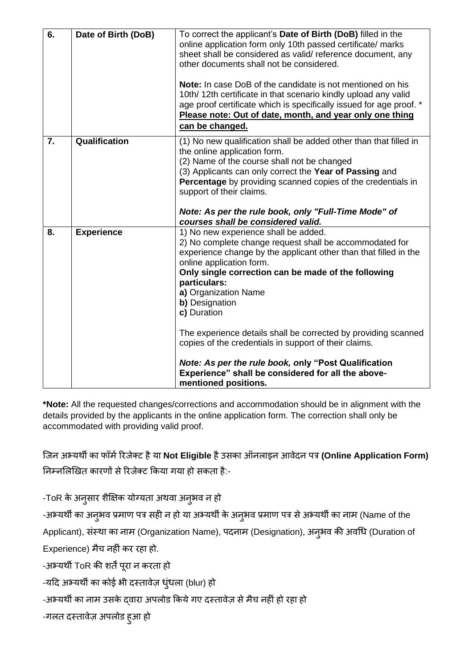| 6. | Date of Birth (DoB) | To correct the applicant's Date of Birth (DoB) filled in the<br>online application form only 10th passed certificate/ marks<br>sheet shall be considered as valid/ reference document, any<br>other documents shall not be considered.<br><b>Note:</b> In case DoB of the candidate is not mentioned on his<br>10th/12th certificate in that scenario kindly upload any valid<br>age proof certificate which is specifically issued for age proof. *<br>Please note: Out of date, month, and year only one thing<br>can be changed.                                                              |
|----|---------------------|--------------------------------------------------------------------------------------------------------------------------------------------------------------------------------------------------------------------------------------------------------------------------------------------------------------------------------------------------------------------------------------------------------------------------------------------------------------------------------------------------------------------------------------------------------------------------------------------------|
| 7. | Qualification       | (1) No new qualification shall be added other than that filled in<br>the online application form.<br>(2) Name of the course shall not be changed<br>(3) Applicants can only correct the Year of Passing and<br>Percentage by providing scanned copies of the credentials in<br>support of their claims.<br>Note: As per the rule book, only "Full-Time Mode" of<br>courses shall be considered valid.                                                                                                                                                                                            |
| 8. | <b>Experience</b>   | 1) No new experience shall be added.<br>2) No complete change request shall be accommodated for<br>experience change by the applicant other than that filled in the<br>online application form.<br>Only single correction can be made of the following<br>particulars:<br>a) Organization Name<br>b) Designation<br>c) Duration<br>The experience details shall be corrected by providing scanned<br>copies of the credentials in support of their claims.<br>Note: As per the rule book, only "Post Qualification<br>Experience" shall be considered for all the above-<br>mentioned positions. |

**\*Note:** All the requested changes/corrections and accommodation should be in alignment with the details provided by the applicants in the online application form. The correction shall only be accommodated with providing valid proof.

जिन अभ्यर्थी का फॉर्मरििेक्ट हैया **Not Eligible** हैउसका ऑनलाइन आवेदन पत्र **(Online Application Form)** निम्नलिखित कारणों से रिजेक्ट किया गया हो सकता है:-

-ToR के अनुसार शैक्षिक योग्यता अथवा अनुभव न हो

-अभ्यर्थी का अनुभव प्रमाण पत्र सही न हो या अभ्यर्थी के अनुभव प्रमाण पत्र से अभ्यर्थी का नाम (Name of the

Applicant), संस्था का नाम (Organization Name), पदनाम (Designation), अनुभव की अवधि (Duration of

Experience) मैच नहीं कर रहा हो.

-अभ्यर्थी ToR की शर्तें पूरा न करता हो

-यदि अभ्यर्थी का कोई भी दस्तावेज़ धुंधला (blur) हो

-अभ्यर्थी का नाम उसके द्वारा अपलोड किये गए दस्तावेज़ से मैच नहीं हो रहा हो

-गलत दस्तावेज़ अपलोड हुआ हो